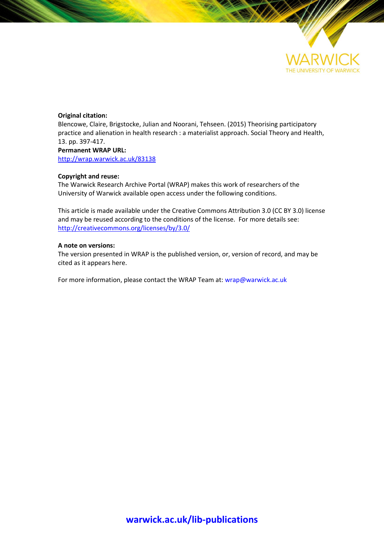

#### **Original citation:**

Blencowe, Claire, Brigstocke, Julian and Noorani, Tehseen. (2015) Theorising participatory practice and alienation in health research : a materialist approach. Social Theory and Health, 13. pp. 397-417.

**Permanent WRAP URL:** <http://wrap.warwick.ac.uk/83138>

#### **Copyright and reuse:**

The Warwick Research Archive Portal (WRAP) makes this work of researchers of the University of Warwick available open access under the following conditions.

This article is made available under the Creative Commons Attribution 3.0 (CC BY 3.0) license and may be reused according to the conditions of the license. For more details see: <http://creativecommons.org/licenses/by/3.0/>

#### **A note on versions:**

The version presented in WRAP is the published version, or, version of record, and may be cited as it appears here.

For more information, please contact the WRAP Team at[: wrap@warwick.ac.uk](mailto:wrap@warwick.ac.uk)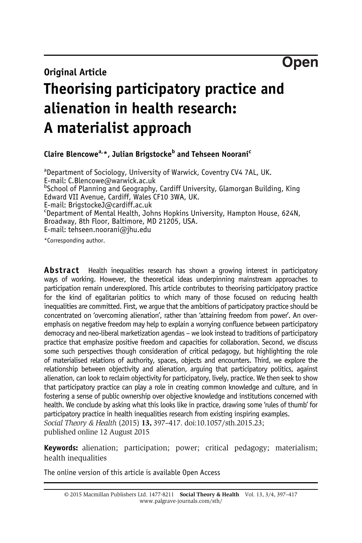Open

# Original Article

# Theorising participatory practice and alienation in health research: A materialist approach

Claire Blencowe<sup>a,\*</sup>, Julian Brigstocke<sup>b</sup> and Tehseen Noorani<sup>c</sup>

<sup>a</sup>Department of Sociology, University of Warwick, Coventry CV4 7AL, UK. E-mail: [C.Blencowe@warwick.ac.uk](mailto:C.Blencowe@warwick.ac.uk) b School of Planning and Geography, Cardiff University, Glamorgan Building, King Edward VII Avenue, Cardiff, Wales CF10 3WA, UK. E-mail: BrigstockeJ@cardiff.ac.uk c Department of Mental Health, Johns Hopkins University, Hampton House, 624N, Broadway, 8th Floor, Baltimore, MD 21205, USA. E-mail: tehseen.noorani@jhu.edu

\*Corresponding author.

**Abstract** Health inequalities research has shown a growing interest in participatory ways of working. However, the theoretical ideas underpinning mainstream approaches to participation remain underexplored. This article contributes to theorising participatory practice for the kind of egalitarian politics to which many of those focused on reducing health inequalities are committed. First, we argue that the ambitions of participatory practice should be concentrated on 'overcoming alienation', rather than 'attaining freedom from power'. An overemphasis on negative freedom may help to explain a worrying confluence between participatory democracy and neo-liberal marketization agendas – we look instead to traditions of participatory practice that emphasize positive freedom and capacities for collaboration. Second, we discuss some such perspectives though consideration of critical pedagogy, but highlighting the role of materialised relations of authority, spaces, objects and encounters. Third, we explore the relationship between objectivity and alienation, arguing that participatory politics, against alienation, can look to reclaim objectivity for participatory, lively, practice. We then seek to show that participatory practice can play a role in creating common knowledge and culture, and in fostering a sense of public ownership over objective knowledge and institutions concerned with health. We conclude by asking what this looks like in practice, drawing some 'rules of thumb' for participatory practice in health inequalities research from existing inspiring examples. Social Theory & Health (2015) 13, 397–417. doi[:10.1057/sth.2015.23](http://dx.doi.org/10.1057/sth.2015.23); published online 12 August 2015

Keywords: alienation; participation; power; critical pedagogy; materialism; health inequalities

The online version of this article is available Open Access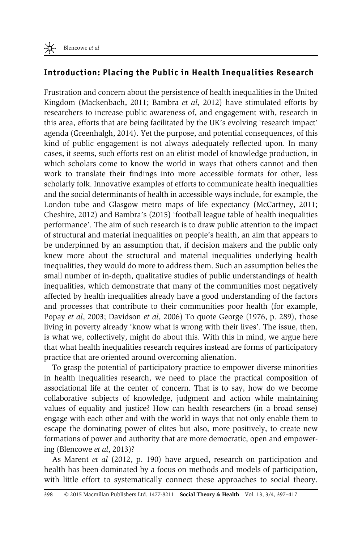## Introduction: Placing the Public in Health Inequalities Research

Frustration and concern about the persistence of health inequalities in the United Kingdom ([Mackenbach, 2011](#page-19-0); [Bambra](#page-18-0) et al, 2012) have stimulated efforts by researchers to increase public awareness of, and engagement with, research in this area, efforts that are being facilitated by the UK's evolving 'research impact' agenda ([Greenhalgh, 2014](#page-19-0)). Yet the purpose, and potential consequences, of this kind of public engagement is not always adequately reflected upon. In many cases, it seems, such efforts rest on an elitist model of knowledge production, in which scholars come to know the world in ways that others cannot and then work to translate their findings into more accessible formats for other, less scholarly folk. Innovative examples of efforts to communicate health inequalities and the social determinants of health in accessible ways include, for example, the London tube and Glasgow metro maps of life expectancy [\(McCartney, 2011;](#page-19-0) [Cheshire, 2012\)](#page-18-0) and [Bambra](#page-18-0)'s (2015) 'football league table of health inequalities performance'. The aim of such research is to draw public attention to the impact of structural and material inequalities on people's health, an aim that appears to be underpinned by an assumption that, if decision makers and the public only knew more about the structural and material inequalities underlying health inequalities, they would do more to address them. Such an assumption belies the small number of in-depth, qualitative studies of public understandings of health inequalities, which demonstrate that many of the communities most negatively affected by health inequalities already have a good understanding of the factors and processes that contribute to their communities poor health (for example, Popay et al[, 2003;](#page-20-0) [Davidson](#page-19-0) et al, 2006) To quote [George \(1976](#page-19-0), p. 289), those living in poverty already 'know what is wrong with their lives'. The issue, then, is what we, collectively, might do about this. With this in mind, we argue here that what health inequalities research requires instead are forms of participatory practice that are oriented around overcoming alienation.

To grasp the potential of participatory practice to empower diverse minorities in health inequalities research, we need to place the practical composition of associational life at the center of concern. That is to say, how do we become collaborative subjects of knowledge, judgment and action while maintaining values of equality and justice? How can health researchers (in a broad sense) engage with each other and with the world in ways that not only enable them to escape the dominating power of elites but also, more positively, to create new formations of power and authority that are more democratic, open and empowering ([Blencowe](#page-18-0) et al, 2013)?

As [Marent](#page-19-0) et al (2012, p. 190) have argued, research on participation and health has been dominated by a focus on methods and models of participation, with little effort to systematically connect these approaches to social theory.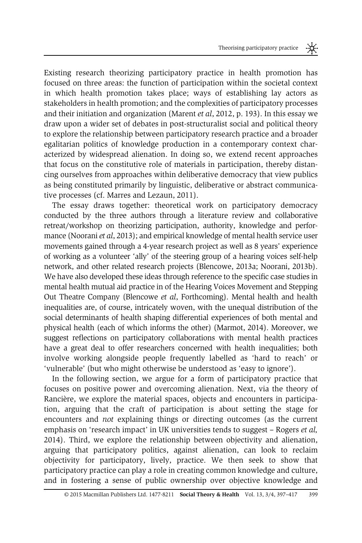Existing research theorizing participatory practice in health promotion has focused on three areas: the function of participation within the societal context in which health promotion takes place; ways of establishing lay actors as stakeholders in health promotion; and the complexities of participatory processes and their initiation and organization ([Marent](#page-19-0) et al, 2012, p. 193). In this essay we draw upon a wider set of debates in post-structuralist social and political theory to explore the relationship between participatory research practice and a broader egalitarian politics of knowledge production in a contemporary context characterized by widespread alienation. In doing so, we extend recent approaches that focus on the constitutive role of materials in participation, thereby distancing ourselves from approaches within deliberative democracy that view publics as being constituted primarily by linguistic, deliberative or abstract communicative processes (cf. [Marres and Lezaun, 2011](#page-19-0)).

The essay draws together: theoretical work on participatory democracy conducted by the three authors through a literature review and collaborative retreat/workshop on theorizing participation, authority, knowledge and perfor-mance [\(Noorani](#page-20-0) *et al*, 2013); and empirical knowledge of mental health service user movements gained through a 4-year research project as well as 8 years' experience of working as a volunteer 'ally' of the steering group of a hearing voices self-help network, and other related research projects [\(Blencowe, 2013a;](#page-18-0) [Noorani, 2013b](#page-20-0)). We have also developed these ideas through reference to the specific case studies in mental health mutual aid practice in of the Hearing Voices Movement and Stepping Out Theatre Company (Blencowe et al[, Forthcoming](#page-18-0)). Mental health and health inequalities are, of course, intricately woven, with the unequal distribution of the social determinants of health shaping differential experiences of both mental and physical health (each of which informs the other) [\(Marmot, 2014](#page-19-0)). Moreover, we suggest reflections on participatory collaborations with mental health practices have a great deal to offer researchers concerned with health inequalities; both involve working alongside people frequently labelled as 'hard to reach' or 'vulnerable' (but who might otherwise be understood as 'easy to ignore').

In the following section, we argue for a form of participatory practice that focuses on positive power and overcoming alienation. Next, via the theory of Rancière, we explore the material spaces, objects and encounters in participation, arguing that the craft of participation is about setting the stage for encounters and not explaining things or directing outcomes (as the current emphasis on 'research impact' in UK universities tends to suggest – [Rogers](#page-20-0) et al, [2014\)](#page-20-0). Third, we explore the relationship between objectivity and alienation, arguing that participatory politics, against alienation, can look to reclaim objectivity for participatory, lively, practice. We then seek to show that participatory practice can play a role in creating common knowledge and culture, and in fostering a sense of public ownership over objective knowledge and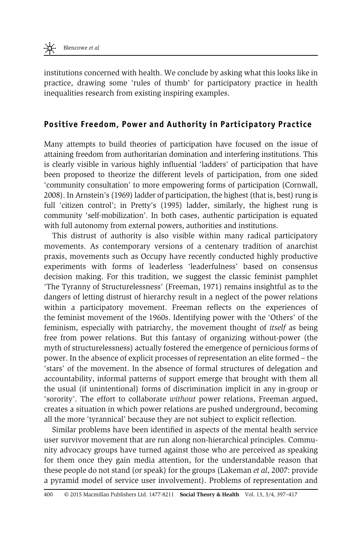institutions concerned with health. We conclude by asking what this looks like in practice, drawing some 'rules of thumb' for participatory practice in health inequalities research from existing inspiring examples.

### Positive Freedom, Power and Authority in Participatory Practice

Many attempts to build theories of participation have focused on the issue of attaining freedom from authoritarian domination and interfering institutions. This is clearly visible in various highly influential 'ladders' of participation that have been proposed to theorize the different levels of participation, from one sided 'community consultation' to more empowering forms of participation [\(Cornwall,](#page-18-0) [2008](#page-18-0)). In [Arnstein](#page-18-0)'s (1969) ladder of participation, the highest (that is, best) rung is full 'citizen control'; in Pretty'[s \(1995\)](#page-20-0) ladder, similarly, the highest rung is community 'self-mobilization'. In both cases, authentic participation is equated with full autonomy from external powers, authorities and institutions.

This distrust of authority is also visible within many radical participatory movements. As contemporary versions of a centenary tradition of anarchist praxis, movements such as Occupy have recently conducted highly productive experiments with forms of leaderless 'leaderfulness' based on consensus decision making. For this tradition, we suggest the classic feminist pamphlet 'The Tyranny of Structurelessness' ([Freeman, 1971\)](#page-19-0) remains insightful as to the dangers of letting distrust of hierarchy result in a neglect of the power relations within a participatory movement. Freeman reflects on the experiences of the feminist movement of the 1960s. Identifying power with the 'Others' of the feminism, especially with patriarchy, the movement thought of *itself* as being free from power relations. But this fantasy of organizing without-power (the myth of structurelessness) actually fostered the emergence of pernicious forms of power. In the absence of explicit processes of representation an elite formed – the 'stars' of the movement. In the absence of formal structures of delegation and accountability, informal patterns of support emerge that brought with them all the usual (if unintentional) forms of discrimination implicit in any in-group or 'sorority'. The effort to collaborate without power relations, Freeman argued, creates a situation in which power relations are pushed underground, becoming all the more 'tyrannical' because they are not subject to explicit reflection.

Similar problems have been identified in aspects of the mental health service user survivor movement that are run along non-hierarchical principles. Community advocacy groups have turned against those who are perceived as speaking for them once they gain media attention, for the understandable reason that these people do not stand (or speak) for the groups [\(Lakeman](#page-19-0) et al, 2007: provide a pyramid model of service user involvement). Problems of representation and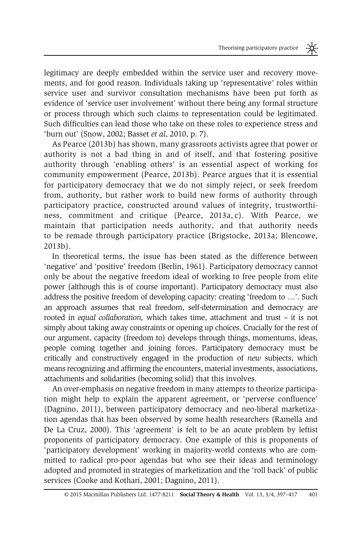legitimacy are deeply embedded within the service user and recovery movements, and for good reason. Individuals taking up 'representative' roles within service user and survivor consultation mechanisms have been put forth as evidence of 'service user involvement' without there being any formal structure or process through which such claims to representation could be legitimated. Such difficulties can lead those who take on these roles to experience stress and 'burn out' [\(Snow, 2002;](#page-20-0) [Basset](#page-18-0) et al, 2010, p. 7).

As [Pearce \(2013b\)](#page-20-0) has shown, many grassroots activists agree that power or authority is not a bad thing in and of itself, and that fostering positive authority through 'enabling others' is an essential aspect of working for community empowerment [\(Pearce, 2013b](#page-20-0)). Pearce argues that it is essential for participatory democracy that we do not simply reject, or seek freedom from, authority, but rather work to build new forms of authority through participatory practice, constructed around values of integrity, trustworthiness, commitment and critique ([Pearce, 2013a, c\)](#page-20-0). With Pearce, we maintain that participation needs authority, and that authority needs to be remade through participatory practice [\(Brigstocke, 2013a](#page-18-0); [Blencowe,](#page-18-0) [2013b\)](#page-18-0).

In theoretical terms, the issue has been stated as the difference between 'negative' and 'positive' freedom [\(Berlin, 1961](#page-18-0)). Participatory democracy cannot only be about the negative freedom ideal of working to free people from elite power (although this is of course important). Participatory democracy must also address the positive freedom of developing capacity: creating 'freedom to …'. Such an approach assumes that real freedom, self-determination and democracy are rooted in equal collaboration, which takes time, attachment and trust – it is not simply about taking away constraints or opening up choices. Crucially for the rest of our argument, capacity (freedom to) develops through things, momentums, ideas, people coming together and joining forces. Participatory democracy must be critically and constructively engaged in the production of new subjects, which means recognizing and affirming the encounters, material investments, associations, attachments and solidarities (becoming solid) that this involves.

An over-emphasis on negative freedom in many attempts to theorize participation might help to explain the apparent agreement, or 'perverse confluence' ([Dagnino, 2011](#page-19-0)), between participatory democracy and neo-liberal marketization agendas that has been observed by some health researchers ([Ramella and](#page-20-0) [De La Cruz, 2000](#page-20-0)). This 'agreement' is felt to be an acute problem by leftist proponents of participatory democracy. One example of this is proponents of 'participatory development' working in majority-world contexts who are committed to radical pro-poor agendas but who see their ideas and terminology adopted and promoted in strategies of marketization and the 'roll back' of public services [\(Cooke and Kothari, 2001](#page-18-0); [Dagnino, 2011](#page-19-0)).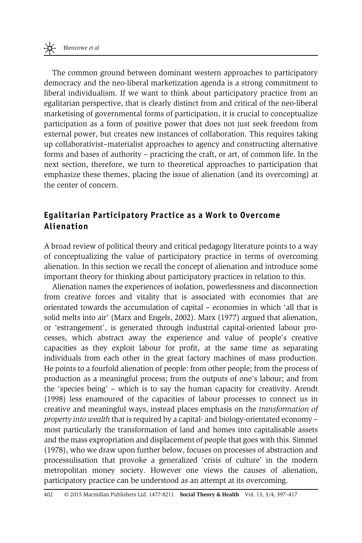The common ground between dominant western approaches to participatory democracy and the neo-liberal marketization agenda is a strong commitment to liberal individualism. If we want to think about participatory practice from an egalitarian perspective, that is clearly distinct from and critical of the neo-liberal marketising of governmental forms of participation, it is crucial to conceptualize participation as a form of positive power that does not just seek freedom from external power, but creates new instances of collaboration. This requires taking up collaborativist–materialist approaches to agency and constructing alternative forms and bases of authority – practicing the craft, or art, of common life. In the next section, therefore, we turn to theoretical approaches to participation that emphasize these themes, placing the issue of alienation (and its overcoming) at the center of concern.

## Egalitarian Participatory Practice as a Work to Overcome Alienation

A broad review of political theory and critical pedagogy literature points to a way of conceptualizing the value of participatory practice in terms of overcoming alienation. In this section we recall the concept of alienation and introduce some important theory for thinking about participatory practices in relation to this.

Alienation names the experiences of isolation, powerlessness and disconnection from creative forces and vitality that is associated with economies that are orientated towards the accumulation of capital – economies in which 'all that is solid melts into air' [\(Marx and Engels, 2002](#page-19-0)). [Marx \(1977\)](#page-19-0) argued that alienation, or 'estrangement', is generated through industrial capital-oriented labour processes, which abstract away the experience and value of people's creative capacities as they exploit labour for profit, at the same time as separating individuals from each other in the great factory machines of mass production. He points to a fourfold alienation of people: from other people; from the process of production as a meaningful process; from the outputs of one's labour; and from the 'species being' – which is to say the human capacity for creativity. [Arendt](#page-18-0) [\(1998\)](#page-18-0) less enamoured of the capacities of labour processes to connect us in creative and meaningful ways, instead places emphasis on the transformation of property into wealth that is required by a capital- and biology-orientated economy – most particularly the transformation of land and homes into capitalisable assets and the mass expropriation and displacement of people that goes with this. [Simmel](#page-20-0) [\(1978\),](#page-20-0) who we draw upon further below, focuses on processes of abstraction and processulisation that provoke a generalized 'crisis of culture' in the modern metropolitan money society. However one views the causes of alienation, participatory practice can be understood as an attempt at its overcoming.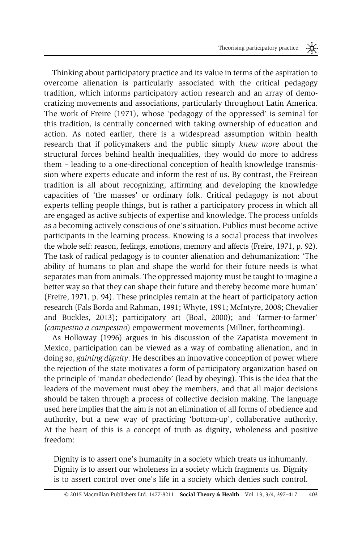Thinking about participatory practice and its value in terms of the aspiration to overcome alienation is particularly associated with the critical pedagogy tradition, which informs participatory action research and an array of democratizing movements and associations, particularly throughout Latin America. The work of [Freire \(1971\),](#page-19-0) whose 'pedagogy of the oppressed' is seminal for this tradition, is centrally concerned with taking ownership of education and action. As noted earlier, there is a widespread assumption within health research that if policymakers and the public simply knew more about the structural forces behind health inequalities, they would do more to address them – leading to a one-directional conception of health knowledge transmission where experts educate and inform the rest of us. By contrast, the Freirean tradition is all about recognizing, affirming and developing the knowledge capacities of 'the masses' or ordinary folk. Critical pedagogy is not about experts telling people things, but is rather a participatory process in which all are engaged as active subjects of expertise and knowledge. The process unfolds as a becoming actively conscious of one's situation. Publics must become active participants in the learning process. Knowing is a social process that involves the whole self: reason, feelings, emotions, memory and affects [\(Freire, 1971](#page-19-0), p. 92). The task of radical pedagogy is to counter alienation and dehumanization: 'The ability of humans to plan and shape the world for their future needs is what separates man from animals. The oppressed majority must be taught to imagine a better way so that they can shape their future and thereby become more human' ([Freire, 1971](#page-19-0), p. 94). These principles remain at the heart of participatory action research ([Fals Borda and Rahman, 1991](#page-19-0); [Whyte, 1991](#page-21-0); [McIntyre, 2008;](#page-20-0) [Chevalier](#page-18-0) [and Buckles, 2013](#page-18-0)); participatory art ([Boal, 2000](#page-18-0)); and 'farmer-to-farmer' (campesino a campesino) empowerment movements [\(Millner, forthcoming\)](#page-20-0).

As [Holloway \(1996\)](#page-19-0) argues in his discussion of the Zapatista movement in Mexico, participation can be viewed as a way of combating alienation, and in doing so, *gaining dignity*. He describes an innovative conception of power where the rejection of the state motivates a form of participatory organization based on the principle of 'mandar obedeciendo' (lead by obeying). This is the idea that the leaders of the movement must obey the members, and that all major decisions should be taken through a process of collective decision making. The language used here implies that the aim is not an elimination of all forms of obedience and authority, but a new way of practicing 'bottom-up', collaborative authority. At the heart of this is a concept of truth as dignity, wholeness and positive freedom:

Dignity is to assert one's humanity in a society which treats us inhumanly. Dignity is to assert our wholeness in a society which fragments us. Dignity is to assert control over one's life in a society which denies such control.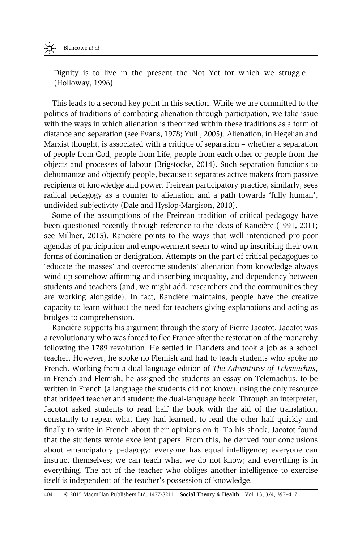Dignity is to live in the present the Not Yet for which we struggle. ([Holloway, 1996\)](#page-19-0)

This leads to a second key point in this section. While we are committed to the politics of traditions of combating alienation through participation, we take issue with the ways in which alienation is theorized within these traditions as a form of distance and separation (see [Evans, 1978](#page-19-0); [Yuill, 2005\)](#page-21-0). Alienation, in Hegelian and Marxist thought, is associated with a critique of separation – whether a separation of people from God, people from Life, people from each other or people from the objects and processes of labour ([Brigstocke, 2014\)](#page-18-0). Such separation functions to dehumanize and objectify people, because it separates active makers from passive recipients of knowledge and power. Freirean participatory practice, similarly, sees radical pedagogy as a counter to alienation and a path towards 'fully human', undivided subjectivity ([Dale and Hyslop-Margison, 2010](#page-19-0)).

Some of the assumptions of the Freirean tradition of critical pedagogy have been questioned recently through reference to the ideas of [Rancière \(1991, 2011;](#page-20-0) see [Millner, 2015\)](#page-20-0). Rancière points to the ways that well intentioned pro-poor agendas of participation and empowerment seem to wind up inscribing their own forms of domination or denigration. Attempts on the part of critical pedagogues to 'educate the masses' and overcome students' alienation from knowledge always wind up somehow affirming and inscribing inequality, and dependency between students and teachers (and, we might add, researchers and the communities they are working alongside). In fact, Rancière maintains, people have the creative capacity to learn without the need for teachers giving explanations and acting as bridges to comprehension.

Rancière supports his argument through the story of Pierre Jacotot. Jacotot was a revolutionary who was forced to flee France after the restoration of the monarchy following the 1789 revolution. He settled in Flanders and took a job as a school teacher. However, he spoke no Flemish and had to teach students who spoke no French. Working from a dual-language edition of The Adventures of Telemachus, in French and Flemish, he assigned the students an essay on Telemachus, to be written in French (a language the students did not know), using the only resource that bridged teacher and student: the dual-language book. Through an interpreter, Jacotot asked students to read half the book with the aid of the translation, constantly to repeat what they had learned, to read the other half quickly and finally to write in French about their opinions on it. To his shock, Jacotot found that the students wrote excellent papers. From this, he derived four conclusions about emancipatory pedagogy: everyone has equal intelligence; everyone can instruct themselves; we can teach what we do not know; and everything is in everything. The act of the teacher who obliges another intelligence to exercise itself is independent of the teacher's possession of knowledge.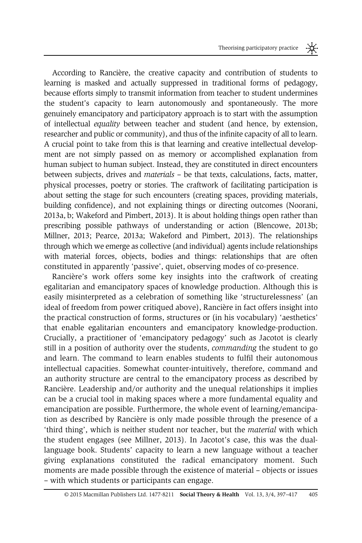According to Rancière, the creative capacity and contribution of students to learning is masked and actually suppressed in traditional forms of pedagogy, because efforts simply to transmit information from teacher to student undermines the student's capacity to learn autonomously and spontaneously. The more genuinely emancipatory and participatory approach is to start with the assumption of intellectual equality between teacher and student (and hence, by extension, researcher and public or community), and thus of the infinite capacity of all to learn. A crucial point to take from this is that learning and creative intellectual development are not simply passed on as memory or accomplished explanation from human subject to human subject. Instead, they are constituted in direct encounters between subjects, drives and materials – be that texts, calculations, facts, matter, physical processes, poetry or stories. The craftwork of facilitating participation is about setting the stage for such encounters (creating spaces, providing materials, building confidence), and not explaining things or directing outcomes [\(Noorani,](#page-20-0) [2013a, b](#page-20-0); [Wakeford and Pimbert, 2013\)](#page-21-0). It is about holding things open rather than prescribing possible pathways of understanding or action ([Blencowe, 2013b;](#page-18-0) [Millner, 2013](#page-20-0); [Pearce, 2013a;](#page-20-0) [Wakeford and Pimbert, 2013](#page-21-0)). The relationships through which we emerge as collective (and individual) agents include relationships with material forces, objects, bodies and things: relationships that are often constituted in apparently 'passive', quiet, observing modes of co-presence.

Rancière's work offers some key insights into the craftwork of creating egalitarian and emancipatory spaces of knowledge production. Although this is easily misinterpreted as a celebration of something like 'structurelessness' (an ideal of freedom from power critiqued above), Rancière in fact offers insight into the practical construction of forms, structures or (in his vocabulary) 'aesthetics' that enable egalitarian encounters and emancipatory knowledge-production. Crucially, a practitioner of 'emancipatory pedagogy' such as Jacotot is clearly still in a position of authority over the students, commanding the student to go and learn. The command to learn enables students to fulfil their autonomous intellectual capacities. Somewhat counter-intuitively, therefore, command and an authority structure are central to the emancipatory process as described by Rancière. Leadership and/or authority and the unequal relationships it implies can be a crucial tool in making spaces where a more fundamental equality and emancipation are possible. Furthermore, the whole event of learning/emancipation as described by Rancière is only made possible through the presence of a 'third thing', which is neither student nor teacher, but the material with which the student engages (see [Millner, 2013\)](#page-20-0). In Jacotot's case, this was the duallanguage book. Students' capacity to learn a new language without a teacher giving explanations constituted the radical emancipatory moment. Such moments are made possible through the existence of material – objects or issues – with which students or participants can engage.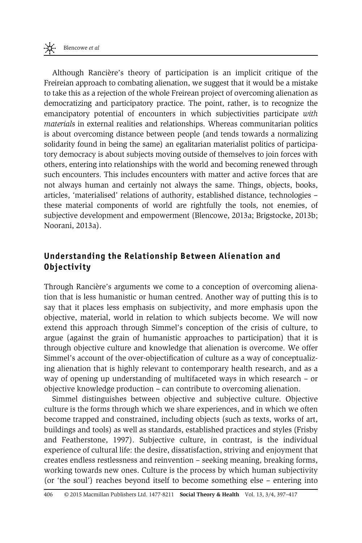Although Rancière's theory of participation is an implicit critique of the Freireian approach to combating alienation, we suggest that it would be a mistake to take this as a rejection of the whole Freirean project of overcoming alienation as democratizing and participatory practice. The point, rather, is to recognize the emancipatory potential of encounters in which subjectivities participate with materials in external realities and relationships. Whereas communitarian politics is about overcoming distance between people (and tends towards a normalizing solidarity found in being the same) an egalitarian materialist politics of participatory democracy is about subjects moving outside of themselves to join forces with others, entering into relationships with the world and becoming renewed through such encounters. This includes encounters with matter and active forces that are not always human and certainly not always the same. Things, objects, books, articles, 'materialised' relations of authority, established distance, technologies – these material components of world are rightfully the tools, not enemies, of subjective development and empowerment [\(Blencowe, 2013a; Brigstocke, 2013b;](#page-18-0) [Noorani, 2013a\)](#page-20-0).

## Understanding the Relationship Between Alienation and Objectivity

Through Rancière's arguments we come to a conception of overcoming alienation that is less humanistic or human centred. Another way of putting this is to say that it places less emphasis on subjectivity, and more emphasis upon the objective, material, world in relation to which subjects become. We will now extend this approach through Simmel's conception of the crisis of culture, to argue (against the grain of humanistic approaches to participation) that it is through objective culture and knowledge that alienation is overcome. We offer Simmel's account of the over-objectification of culture as a way of conceptualizing alienation that is highly relevant to contemporary health research, and as a way of opening up understanding of multifaceted ways in which research – or objective knowledge production – can contribute to overcoming alienation.

Simmel distinguishes between objective and subjective culture. Objective culture is the forms through which we share experiences, and in which we often become trapped and constrained, including objects (such as texts, works of art, buildings and tools) as well as standards, established practices and styles ([Frisby](#page-19-0) [and Featherstone, 1997\)](#page-19-0). Subjective culture, in contrast, is the individual experience of cultural life: the desire, dissatisfaction, striving and enjoyment that creates endless restlessness and reinvention – seeking meaning, breaking forms, working towards new ones. Culture is the process by which human subjectivity (or 'the soul') reaches beyond itself to become something else – entering into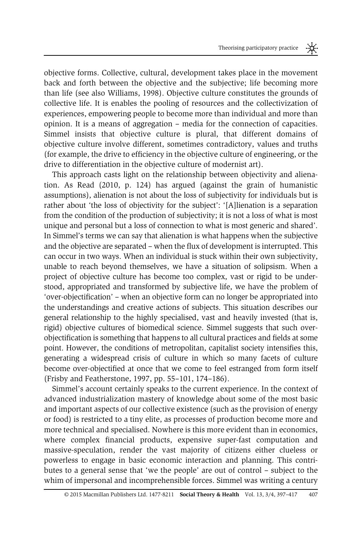objective forms. Collective, cultural, development takes place in the movement back and forth between the objective and the subjective; life becoming more than life (see also [Williams, 1998](#page-21-0)). Objective culture constitutes the grounds of collective life. It is enables the pooling of resources and the collectivization of experiences, empowering people to become more than individual and more than opinion. It is a means of aggregation – media for the connection of capacities. Simmel insists that objective culture is plural, that different domains of objective culture involve different, sometimes contradictory, values and truths (for example, the drive to efficiency in the objective culture of engineering, or the drive to differentiation in the objective culture of modernist art).

This approach casts light on the relationship between objectivity and alienation. As [Read \(2010](#page-20-0), p. 124) has argued (against the grain of humanistic assumptions), alienation is not about the loss of subjectivity for individuals but is rather about 'the loss of objectivity for the subject': '[A]lienation is a separation from the condition of the production of subjectivity; it is not a loss of what is most unique and personal but a loss of connection to what is most generic and shared'. In Simmel's terms we can say that alienation is what happens when the subjective and the objective are separated – when the flux of development is interrupted. This can occur in two ways. When an individual is stuck within their own subjectivity, unable to reach beyond themselves, we have a situation of solipsism. When a project of objective culture has become too complex, vast or rigid to be understood, appropriated and transformed by subjective life, we have the problem of 'over-objectification' – when an objective form can no longer be appropriated into the understandings and creative actions of subjects. This situation describes our general relationship to the highly specialised, vast and heavily invested (that is, rigid) objective cultures of biomedical science. Simmel suggests that such overobjectification is something that happens to all cultural practices and fields at some point. However, the conditions of metropolitan, capitalist society intensifies this, generating a widespread crisis of culture in which so many facets of culture become over-objectified at once that we come to feel estranged from form itself ([Frisby and Featherstone, 1997,](#page-19-0) pp. 55–101, 174–186).

Simmel's account certainly speaks to the current experience. In the context of advanced industrialization mastery of knowledge about some of the most basic and important aspects of our collective existence (such as the provision of energy or food) is restricted to a tiny elite, as processes of production become more and more technical and specialised. Nowhere is this more evident than in economics, where complex financial products, expensive super-fast computation and massive-speculation, render the vast majority of citizens either clueless or powerless to engage in basic economic interaction and planning. This contributes to a general sense that 'we the people' are out of control – subject to the whim of impersonal and incomprehensible forces. Simmel was writing a century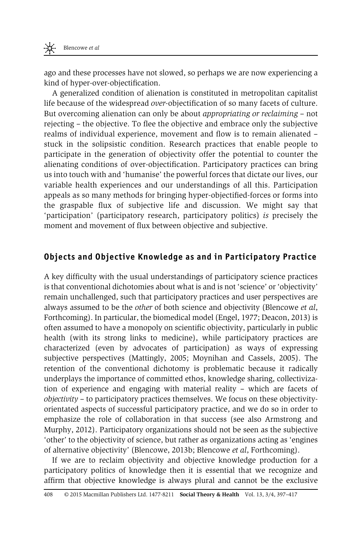ago and these processes have not slowed, so perhaps we are now experiencing a kind of hyper-over-objectification.

A generalized condition of alienation is constituted in metropolitan capitalist life because of the widespread over-objectification of so many facets of culture. But overcoming alienation can only be about appropriating or reclaiming – not rejecting – the objective. To flee the objective and embrace only the subjective realms of individual experience, movement and flow is to remain alienated – stuck in the solipsistic condition. Research practices that enable people to participate in the generation of objectivity offer the potential to counter the alienating conditions of over-objectification. Participatory practices can bring us into touch with and 'humanise' the powerful forces that dictate our lives, our variable health experiences and our understandings of all this. Participation appeals as so many methods for bringing hyper-objectified-forces or forms into the graspable flux of subjective life and discussion. We might say that 'participation' (participatory research, participatory politics) is precisely the moment and movement of flux between objective and subjective.

#### Objects and Objective Knowledge as and in Participatory Practice

A key difficulty with the usual understandings of participatory science practices is that conventional dichotomies about what is and is not 'science' or 'objectivity' remain unchallenged, such that participatory practices and user perspectives are always assumed to be the other of both science and objectivity [\(Blencowe](#page-18-0) et al, [Forthcoming](#page-18-0)). In particular, the biomedical model ([Engel, 1977; Deacon, 2013](#page-19-0)) is often assumed to have a monopoly on scientific objectivity, particularly in public health (with its strong links to medicine), while participatory practices are characterized (even by advocates of participation) as ways of expressing subjective perspectives ([Mattingly, 2005](#page-19-0); [Moynihan and Cassels, 2005](#page-20-0)). The retention of the conventional dichotomy is problematic because it radically underplays the importance of committed ethos, knowledge sharing, collectivization of experience and engaging with material reality – which are facets of  $objective$  – to participatory practices themselves. We focus on these objectivityorientated aspects of successful participatory practice, and we do so in order to emphasize the role of collaboration in that success (see also [Armstrong and](#page-18-0) [Murphy, 2012\)](#page-18-0). Participatory organizations should not be seen as the subjective 'other' to the objectivity of science, but rather as organizations acting as 'engines of alternative objectivity' [\(Blencowe, 2013b](#page-18-0); Blencowe et al[, Forthcoming](#page-18-0)).

If we are to reclaim objectivity and objective knowledge production for a participatory politics of knowledge then it is essential that we recognize and affirm that objective knowledge is always plural and cannot be the exclusive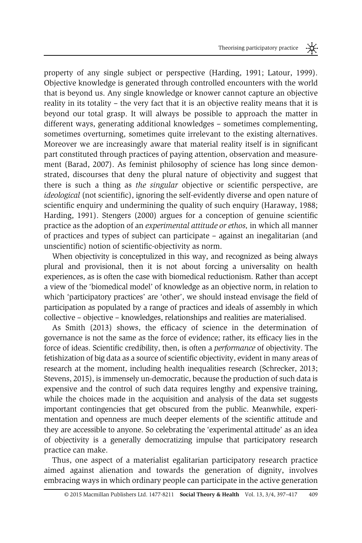property of any single subject or perspective [\(Harding, 1991; Latour, 1999\)](#page-19-0). Objective knowledge is generated through controlled encounters with the world that is beyond us. Any single knowledge or knower cannot capture an objective reality in its totality – the very fact that it is an objective reality means that it is beyond our total grasp. It will always be possible to approach the matter in different ways, generating additional knowledges – sometimes complementing, sometimes overturning, sometimes quite irrelevant to the existing alternatives. Moreover we are increasingly aware that material reality itself is in significant part constituted through practices of paying attention, observation and measurement ([Barad, 2007](#page-18-0)). As feminist philosophy of science has long since demonstrated, discourses that deny the plural nature of objectivity and suggest that there is such a thing as the singular objective or scientific perspective, are ideological (not scientific), ignoring the self-evidently diverse and open nature of scientific enquiry and undermining the quality of such enquiry ([Haraway, 1988;](#page-19-0) [Harding, 1991](#page-19-0)). [Stengers \(2000\)](#page-21-0) argues for a conception of genuine scientific practice as the adoption of an experimental attitude or ethos, in which all manner of practices and types of subject can participate – against an inegalitarian (and unscientific) notion of scientific-objectivity as norm.

When objectivity is conceptulized in this way, and recognized as being always plural and provisional, then it is not about forcing a universality on health experiences, as is often the case with biomedical reductionism. Rather than accept a view of the 'biomedical model' of knowledge as an objective norm, in relation to which 'participatory practices' are 'other', we should instead envisage the field of participation as populated by a range of practices and ideals of assembly in which collective – objective – knowledges, relationships and realities are materialised.

As [Smith \(2013](#page-20-0)) shows, the efficacy of science in the determination of governance is not the same as the force of evidence; rather, its efficacy lies in the force of ideas. Scientific credibility, then, is often a performance of objectivity. The fetishization of big data as a source of scientific objectivity, evident in many areas of research at the moment, including health inequalities research [\(Schrecker, 2013;](#page-20-0) [Stevens, 2015\)](#page-21-0), is immensely un-democratic, because the production of such data is expensive and the control of such data requires lengthy and expensive training, while the choices made in the acquisition and analysis of the data set suggests important contingencies that get obscured from the public. Meanwhile, experimentation and openness are much deeper elements of the scientific attitude and they are accessible to anyone. So celebrating the 'experimental attitude' as an idea of objectivity is a generally democratizing impulse that participatory research practice can make.

Thus, one aspect of a materialist egalitarian participatory research practice aimed against alienation and towards the generation of dignity, involves embracing ways in which ordinary people can participate in the active generation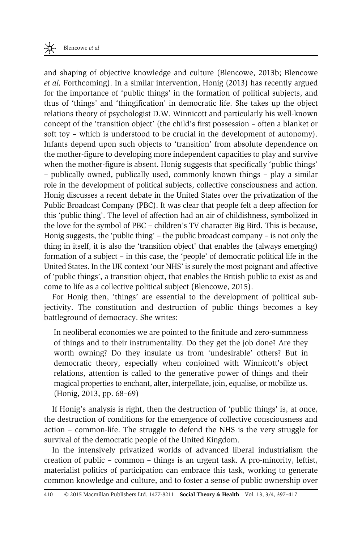and shaping of objective knowledge and culture ([Blencowe, 2013b](#page-18-0); [Blencowe](#page-18-0) et al, [Forthcoming\)](#page-18-0). In a similar intervention, [Honig \(2013\)](#page-19-0) has recently argued for the importance of 'public things' in the formation of political subjects, and thus of 'things' and 'thingification' in democratic life. She takes up the object relations theory of psychologist D.W. Winnicott and particularly his well-known concept of the 'transition object' (the child's first possession – often a blanket or soft toy – which is understood to be crucial in the development of autonomy). Infants depend upon such objects to 'transition' from absolute dependence on the mother-figure to developing more independent capacities to play and survive when the mother-figure is absent. Honig suggests that specifically 'public things' – publically owned, publically used, commonly known things – play a similar role in the development of political subjects, collective consciousness and action. Honig discusses a recent debate in the United States over the privatization of the Public Broadcast Company (PBC). It was clear that people felt a deep affection for this 'public thing'. The level of affection had an air of childishness, symbolized in the love for the symbol of PBC – children's TV character Big Bird. This is because, Honig suggests, the 'public thing' – the public broadcast company – is not only the thing in itself, it is also the 'transition object' that enables the (always emerging) formation of a subject – in this case, the 'people' of democratic political life in the United States. In the UK context 'our NHS' is surely the most poignant and affective of 'public things', a transition object, that enables the British public to exist as and come to life as a collective political subject [\(Blencowe, 2015](#page-18-0)).

For Honig then, 'things' are essential to the development of political subjectivity. The constitution and destruction of public things becomes a key battleground of democracy. She writes:

In neoliberal economies we are pointed to the finitude and zero-summness of things and to their instrumentality. Do they get the job done? Are they worth owning? Do they insulate us from 'undesirable' others? But in democratic theory, especially when conjoined with Winnicott's object relations, attention is called to the generative power of things and their magical properties to enchant, alter, interpellate, join, equalise, or mobilize us. ([Honig, 2013,](#page-19-0) pp. 68–69)

If Honig's analysis is right, then the destruction of 'public things' is, at once, the destruction of conditions for the emergence of collective consciousness and action – common-life. The struggle to defend the NHS is the very struggle for survival of the democratic people of the United Kingdom.

In the intensively privatized worlds of advanced liberal industrialism the creation of public – common – things is an urgent task. A pro-minority, leftist, materialist politics of participation can embrace this task, working to generate common knowledge and culture, and to foster a sense of public ownership over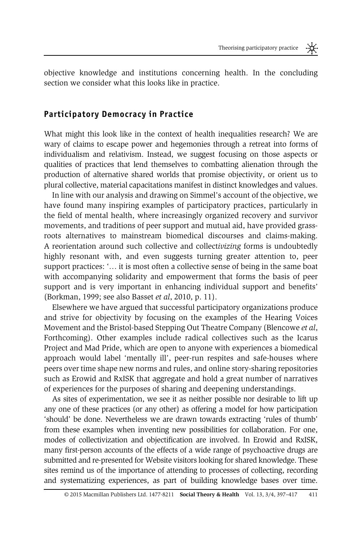objective knowledge and institutions concerning health. In the concluding section we consider what this looks like in practice.

#### Participatory Democracy in Practice

What might this look like in the context of health inequalities research? We are wary of claims to escape power and hegemonies through a retreat into forms of individualism and relativism. Instead, we suggest focusing on those aspects or qualities of practices that lend themselves to combatting alienation through the production of alternative shared worlds that promise objectivity, or orient us to plural collective, material capacitations manifest in distinct knowledges and values.

In line with our analysis and drawing on Simmel's account of the objective, we have found many inspiring examples of participatory practices, particularly in the field of mental health, where increasingly organized recovery and survivor movements, and traditions of peer support and mutual aid, have provided grassroots alternatives to mainstream biomedical discourses and claims-making. A reorientation around such collective and collectivizing forms is undoubtedly highly resonant with, and even suggests turning greater attention to, peer support practices: '… it is most often a collective sense of being in the same boat with accompanying solidarity and empowerment that forms the basis of peer support and is very important in enhancing individual support and benefits' ([Borkman, 1999;](#page-18-0) see also [Basset](#page-18-0) et al, 2010, p. 11).

Elsewhere we have argued that successful participatory organizations produce and strive for objectivity by focusing on the examples of the Hearing Voices Movement and the Bristol-based Stepping Out Theatre Company ([Blencowe](#page-18-0) et al, [Forthcoming](#page-18-0)). Other examples include radical collectives such as the Icarus Project and Mad Pride, which are open to anyone with experiences a biomedical approach would label 'mentally ill', peer-run respites and safe-houses where peers over time shape new norms and rules, and online story-sharing repositories such as Erowid and RxISK that aggregate and hold a great number of narratives of experiences for the purposes of sharing and deepening understandings.

As sites of experimentation, we see it as neither possible nor desirable to lift up any one of these practices (or any other) as offering a model for how participation 'should' be done. Nevertheless we are drawn towards extracting 'rules of thumb' from these examples when inventing new possibilities for collaboration. For one, modes of collectivization and objectification are involved. In Erowid and RxISK, many first-person accounts of the effects of a wide range of psychoactive drugs are submitted and re-presented for Website visitors looking for shared knowledge. These sites remind us of the importance of attending to processes of collecting, recording and systematizing experiences, as part of building knowledge bases over time.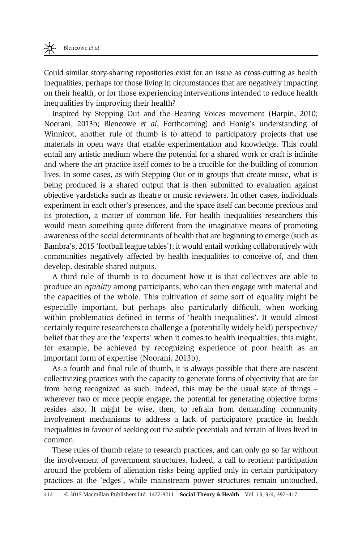Could similar story-sharing repositories exist for an issue as cross-cutting as health inequalities, perhaps for those living in circumstances that are negatively impacting on their health, or for those experiencing interventions intended to reduce health inequalities by improving their health?

Inspired by Stepping Out and the Hearing Voices movement ([Harpin, 2010;](#page-19-0) [Noorani, 2013b;](#page-20-0) Blencowe et al[, Forthcoming\)](#page-18-0) and Honig's understanding of Winnicot, another rule of thumb is to attend to participatory projects that use materials in open ways that enable experimentation and knowledge. This could entail any artistic medium where the potential for a shared work or craft is infinite and where the art practice itself comes to be a crucible for the building of common lives. In some cases, as with Stepping Out or in groups that create music, what is being produced is a shared output that is then submitted to evaluation against objective yardsticks such as theatre or music reviewers. In other cases, individuals experiment in each other's presences, and the space itself can become precious and its protection, a matter of common life. For health inequalities researchers this would mean something quite different from the imaginative means of promoting awareness of the social determinants of health that are beginning to emerge (such as Bambra's, 2015 'football league tables'); it would entail working collaboratively with communities negatively affected by health inequalities to conceive of, and then develop, desirable shared outputs.

A third rule of thumb is to document how it is that collectives are able to produce an equality among participants, who can then engage with material and the capacities of the whole. This cultivation of some sort of equality might be especially important, but perhaps also particularly difficult, when working within problematics defined in terms of 'health inequalities'. It would almost certainly require researchers to challenge a (potentially widely held) perspective/ belief that they are the 'experts' when it comes to health inequalities; this might, for example, be achieved by recognizing experience of poor health as an important form of expertise ([Noorani, 2013b](#page-20-0)).

As a fourth and final rule of thumb, it is always possible that there are nascent collectivizing practices with the capacity to generate forms of objectivity that are far from being recognized as such. Indeed, this may be the usual state of things – wherever two or more people engage, the potential for generating objective forms resides also. It might be wise, then, to refrain from demanding community involvement mechanisms to address a lack of participatory practice in health inequalities in favour of seeking out the subtle potentials and terrain of lives lived in common.

These rules of thumb relate to research practices, and can only go so far without the involvement of government structures. Indeed, a call to reorient participation around the problem of alienation risks being applied only in certain participatory practices at the 'edges', while mainstream power structures remain untouched.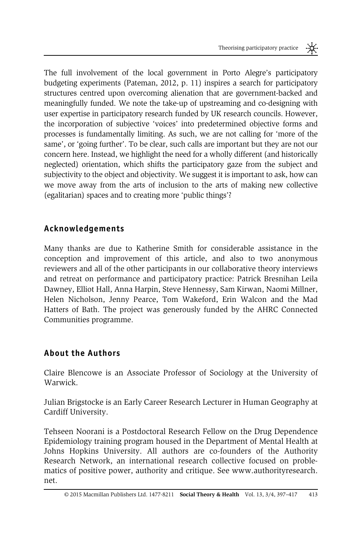The full involvement of the local government in Porto Alegre's participatory budgeting experiments ([Pateman, 2012,](#page-20-0) p. 11) inspires a search for participatory structures centred upon overcoming alienation that are government-backed and meaningfully funded. We note the take-up of upstreaming and co-designing with user expertise in participatory research funded by UK research councils. However, the incorporation of subjective 'voices' into predetermined objective forms and processes is fundamentally limiting. As such, we are not calling for 'more of the same', or 'going further'. To be clear, such calls are important but they are not our concern here. Instead, we highlight the need for a wholly different (and historically neglected) orientation, which shifts the participatory gaze from the subject and subjectivity to the object and objectivity. We suggest it is important to ask, how can we move away from the arts of inclusion to the arts of making new collective (egalitarian) spaces and to creating more 'public things'?

# Acknowledgements

Many thanks are due to Katherine Smith for considerable assistance in the conception and improvement of this article, and also to two anonymous reviewers and all of the other participants in our collaborative theory interviews and retreat on performance and participatory practice: Patrick Bresnihan Leila Dawney, Elliot Hall, Anna Harpin, Steve Hennessy, Sam Kirwan, Naomi Millner, Helen Nicholson, Jenny Pearce, Tom Wakeford, Erin Walcon and the Mad Hatters of Bath. The project was generously funded by the AHRC Connected Communities programme.

# About the Authors

Claire Blencowe is an Associate Professor of Sociology at the University of Warwick.

Julian Brigstocke is an Early Career Research Lecturer in Human Geography at Cardiff University.

Tehseen Noorani is a Postdoctoral Research Fellow on the Drug Dependence Epidemiology training program housed in the Department of Mental Health at Johns Hopkins University. All authors are co-founders of the Authority Research Network, an international research collective focused on problematics of positive power, authority and critique. See [www.authorityresearch.](www.authorityresearch.net.) [net.](www.authorityresearch.net.)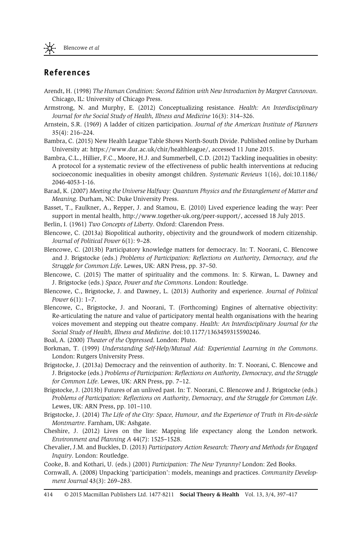#### <span id="page-18-0"></span>References

- Arendt, H. (1998) The Human Condition: Second Edition with New Introduction by Margret Cannovan. Chicago, IL: University of Chicago Press.
- Armstrong, N. and Murphy, E. (2012) Conceptualizing resistance. Health: An Interdisciplinary Journal for the Social Study of Health, Illness and Medicine 16(3): 314–326.
- Arnstein, S.R. (1969) A ladder of citizen participation. Journal of the American Institute of Planners 35(4): 216–224.
- Bambra, C. (2015) New Health League Table Shows North-South Divide. Published online by Durham University at: [https://www.dur.ac.uk/chir/healthleague/,](https://www.dur.ac.uk/chir/healthleague/) accessed 11 June 2015.
- Bambra, C.L., Hillier, F.C., Moore, H.J. and Summerbell, C.D. (2012) Tackling inequalities in obesity: A protocol for a systematic review of the effectiveness of public health interventions at reducing socioeconomic inequalities in obesity amongst children. Systematic Reviews 1(16), doi[:10.1186/](http://dx.doi.org/10.1186/2046-4053-1-16) [2046-4053-1-16](http://dx.doi.org/10.1186/2046-4053-1-16).
- Barad, K. (2007) Meeting the Universe Halfway: Quantum Physics and the Entanglement of Matter and Meaning. Durham, NC: Duke University Press.
- Basset, T., Faulkner, A., Repper, J. and Stamou, E. (2010) Lived experience leading the way: Peer support in mental health,<http://www.together-uk.org/peer-support/>, accessed 18 July 2015.
- Berlin, I. (1961) Two Concepts of Liberty. Oxford: Clarendon Press.
- Blencowe, C. (2013a) Biopolitical authority, objectivity and the groundwork of modern citizenship. Journal of Political Power 6(1): 9–28.
- Blencowe, C. (2013b) Participatory knowledge matters for democracy. In: T. Noorani, C. Blencowe and J. Brigstocke (eds.) Problems of Participation: Reflections on Authority, Democracy, and the Struggle for Common Life. Lewes, UK: ARN Press, pp. 37–50.
- Blencowe, C. (2015) The matter of spirituality and the commons. In: S. Kirwan, L. Dawney and J. Brigstocke (eds.) Space, Power and the Commons. London: Routledge.
- Blencowe, C., Brigstocke, J. and Dawney, L. (2013) Authority and experience. Journal of Political Power 6(1): 1–7.
- Blencowe, C., Brigstocke, J. and Noorani, T. (Forthcoming) Engines of alternative objectivity: Re-articulating the nature and value of participatory mental health organisations with the hearing voices movement and stepping out theatre company. Health: An Interdisciplinary Journal for the Social Study of Health, Illness and Medicine. doi[:10.1177/1363459315590246.](http://dx.doi.org/10.1177/1363459315590246)

Boal, A. (2000) Theater of the Oppressed. London: Pluto.

- Borkman, T. (1999) Understanding Self-Help/Mutual Aid: Experiential Learning in the Commons. London: Rutgers University Press.
- Brigstocke, J. (2013a) Democracy and the reinvention of authority. In: T. Noorani, C. Blencowe and J. Brigstocke (eds.) Problems of Participation: Reflections on Authority, Democracy, and the Struggle for Common Life. Lewes, UK: ARN Press, pp. 7–12.
- Brigstocke, J. (2013b) Futures of an unlived past. In: T. Noorani, C. Blencowe and J. Brigstocke (eds.) Problems of Participation: Reflections on Authority, Democracy, and the Struggle for Common Life. Lewes, UK: ARN Press, pp. 101–110.
- Brigstocke, J. (2014) The Life of the City: Space, Humour, and the Experience of Truth in Fin-de-siècle Montmartre. Farnham, UK: Ashgate.
- Cheshire, J. (2012) Lives on the line: Mapping life expectancy along the London network. Environment and Planning A 44(7): 1525–1528.
- Chevalier, J.M. and Buckles, D. (2013) Participatory Action Research: Theory and Methods for Engaged Inquiry. London: Routledge.
- Cooke, B. and Kothari, U. (eds.) (2001) Participation: The New Tyranny? London: Zed Books.
- Cornwall, A. (2008) Unpacking 'participation': models, meanings and practices. Community Development Journal 43(3): 269–283.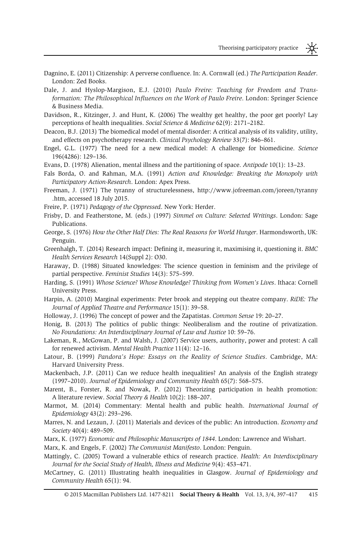- <span id="page-19-0"></span>Dagnino, E. (2011) Citizenship: A perverse confluence. In: A. Cornwall (ed.) The Participation Reader. London: Zed Books.
- Dale, J. and Hyslop-Margison, E.J. (2010) Paulo Freire: Teaching for Freedom and Transformation: The Philosophical Influences on the Work of Paulo Freire. London: Springer Science & Business Media.
- Davidson, R., Kitzinger, J. and Hunt, K. (2006) The wealthy get healthy, the poor get poorly? Lay perceptions of health inequalities. Social Science & Medicine 62(9): 2171–2182.
- Deacon, B.J. (2013) The biomedical model of mental disorder: A critical analysis of its validity, utility, and effects on psychotherapy research. Clinical Psychology Review 33(7): 846–861.
- Engel, G.L. (1977) The need for a new medical model: A challenge for biomedicine. Science 196(4286): 129–136.
- Evans, D. (1978) Alienation, mental illness and the partitioning of space. Antipode 10(1): 13–23.
- Fals Borda, O. and Rahman, M.A. (1991) Action and Knowledge: Breaking the Monopoly with Participatory Action-Research. London: Apex Press.
- Freeman, J. (1971) The tyranny of structurelessness, [http://www.jofreeman.com/joreen/tyranny](http://www.jofreeman.com/joreen/tyranny.htm) [.htm](http://www.jofreeman.com/joreen/tyranny.htm), accessed 18 July 2015.
- Freire, P. (1971) Pedagogy of the Oppressed. New York: Herder.
- Frisby, D. and Featherstone, M. (eds.) (1997) Simmel on Culture: Selected Writings. London: Sage Publications.
- George, S. (1976) How the Other Half Dies: The Real Reasons for World Hunger. Harmondsworth, UK: Penguin.
- Greenhalgh, T. (2014) Research impact: Defining it, measuring it, maximising it, questioning it. BMC Health Services Research 14(Suppl 2): O30.
- Haraway, D. (1988) Situated knowledges: The science question in feminism and the privilege of partial perspective. Feminist Studies 14(3): 575–599.
- Harding, S. (1991) Whose Science? Whose Knowledge? Thinking from Women's Lives. Ithaca: Cornell University Press.
- Harpin, A. (2010) Marginal experiments: Peter brook and stepping out theatre company. RiDE: The Journal of Applied Theatre and Performance 15(1): 39–58.
- Holloway, J. (1996) The concept of power and the Zapatistas. Common Sense 19: 20–27.
- Honig, B. (2013) The politics of public things: Neoliberalism and the routine of privatization. No Foundations: An Interdisciplinary Journal of Law and Justice 10: 59–76.
- Lakeman, R., McGowan, P. and Walsh, J. (2007) Service users, authority, power and protest: A call for renewed activism. Mental Health Practice 11(4): 12–16.
- Latour, B. (1999) Pandora's Hope: Essays on the Reality of Science Studies. Cambridge, MA: Harvard University Press.
- Mackenbach, J.P. (2011) Can we reduce health inequalities? An analysis of the English strategy (1997–2010). Journal of Epidemiology and Community Health 65(7): 568–575.
- Marent, B., Forster, R. and Nowak, P. (2012) Theorizing participation in health promotion: A literature review. Social Theory & Health 10(2): 188–207.
- Marmot, M. (2014) Commentary: Mental health and public health. International Journal of Epidemiology 43(2): 293–296.
- Marres, N. and Lezaun, J. (2011) Materials and devices of the public: An introduction. Economy and Society 40(4): 489–509.
- Marx, K. (1977) Economic and Philosophic Manuscripts of 1844. London: Lawrence and Wishart.

Marx, K. and Engels, F. (2002) The Communist Manifesto. London: Penguin.

- Mattingly, C. (2005) Toward a vulnerable ethics of research practice. Health: An Interdisciplinary Journal for the Social Study of Health, Illness and Medicine 9(4): 453–471.
- McCartney, G. (2011) Illustrating health inequalities in Glasgow. Journal of Epidemiology and Community Health 65(1): 94.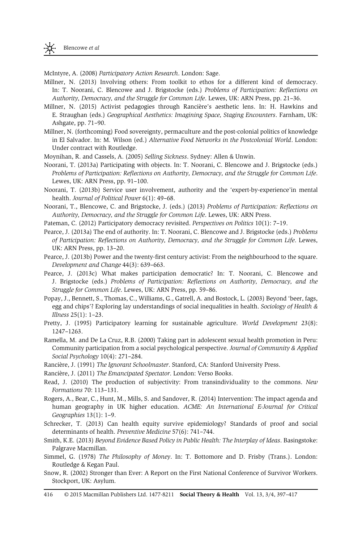<span id="page-20-0"></span>McIntyre, A. (2008) Participatory Action Research. London: Sage.

- Millner, N. (2013) Involving others: From toolkit to ethos for a different kind of democracy. In: T. Noorani, C. Blencowe and J. Brigstocke (eds.) Problems of Participation: Reflections on Authority, Democracy, and the Struggle for Common Life. Lewes, UK: ARN Press, pp. 21–36.
- Millner, N. (2015) Activist pedagogies through Rancière's aesthetic lens. In: H. Hawkins and E. Straughan (eds.) Geographical Aesthetics: Imagining Space, Staging Encounters. Farnham, UK: Ashgate, pp. 71–90.
- Millner, N. (forthcoming) Food sovereignty, permaculture and the post-colonial politics of knowledge in El Salvador. In: M. Wilson (ed.) Alternative Food Networks in the Postcolonial World. London: Under contract with Routledge.
- Moynihan, R. and Cassels, A. (2005) Selling Sickness. Sydney: Allen & Unwin.
- Noorani, T. (2013a) Participating with objects. In: T. Noorani, C. Blencowe and J. Brigstocke (eds.) Problems of Participation: Reflections on Authority, Democracy, and the Struggle for Common Life. Lewes, UK: ARN Press, pp. 91–100.
- Noorani, T. (2013b) Service user involvement, authority and the 'expert-by-experience'in mental health. Journal of Political Power 6(1): 49–68.
- Noorani, T., Blencowe, C. and Brigstocke, J. (eds.) (2013) Problems of Participation: Reflections on Authority, Democracy, and the Struggle for Common Life. Lewes, UK: ARN Press.
- Pateman, C. (2012) Participatory democracy revisited. Perspectives on Politics 10(1): 7–19.
- Pearce, J. (2013a) The end of authority. In: T. Noorani, C. Blencowe and J. Brigstocke (eds.) Problems of Participation: Reflections on Authority, Democracy, and the Struggle for Common Life. Lewes, UK: ARN Press, pp. 13–20.
- Pearce, J. (2013b) Power and the twenty-first century activist: From the neighbourhood to the square. Development and Change 44(3): 639–663.
- Pearce, J. (2013c) What makes participation democratic? In: T. Noorani, C. Blencowe and J. Brigstocke (eds.) Problems of Participation: Reflections on Authority, Democracy, and the Struggle for Common Life. Lewes, UK: ARN Press, pp. 59–86.
- Popay, J., Bennett, S., Thomas, C., Williams, G., Gatrell, A. and Bostock, L. (2003) Beyond 'beer, fags, egg and chips'? Exploring lay understandings of social inequalities in health. Sociology of Health & Illness 25(1): 1–23.
- Pretty, J. (1995) Participatory learning for sustainable agriculture. World Development 23(8): 1247–1263.
- Ramella, M. and De La Cruz, R.B. (2000) Taking part in adolescent sexual health promotion in Peru: Community participation from a social psychological perspective. Journal of Community & Applied Social Psychology 10(4): 271–284.
- Rancière, J. (1991) The Ignorant Schoolmaster. Stanford, CA: Stanford University Press.
- Rancière, J. (2011) The Emancipated Spectator. London: Verso Books.
- Read, J. (2010) The production of subjectivity: From transindividuality to the commons. New Formations 70: 113–131.
- Rogers, A., Bear, C., Hunt, M., Mills, S. and Sandover, R. (2014) Intervention: The impact agenda and human geography in UK higher education. ACME: An International E-Journal for Critical Geographies 13(1): 1–9.
- Schrecker, T. (2013) Can health equity survive epidemiology? Standards of proof and social determinants of health. Preventive Medicine 57(6): 741–744.
- Smith, K.E. (2013) Beyond Evidence Based Policy in Public Health: The Interplay of Ideas. Basingstoke: Palgrave Macmillan.
- Simmel, G. (1978) The Philosophy of Money. In: T. Bottomore and D. Frisby (Trans.). London: Routledge & Kegan Paul.
- Snow, R. (2002) Stronger than Ever: A Report on the First National Conference of Survivor Workers. Stockport, UK: Asylum.